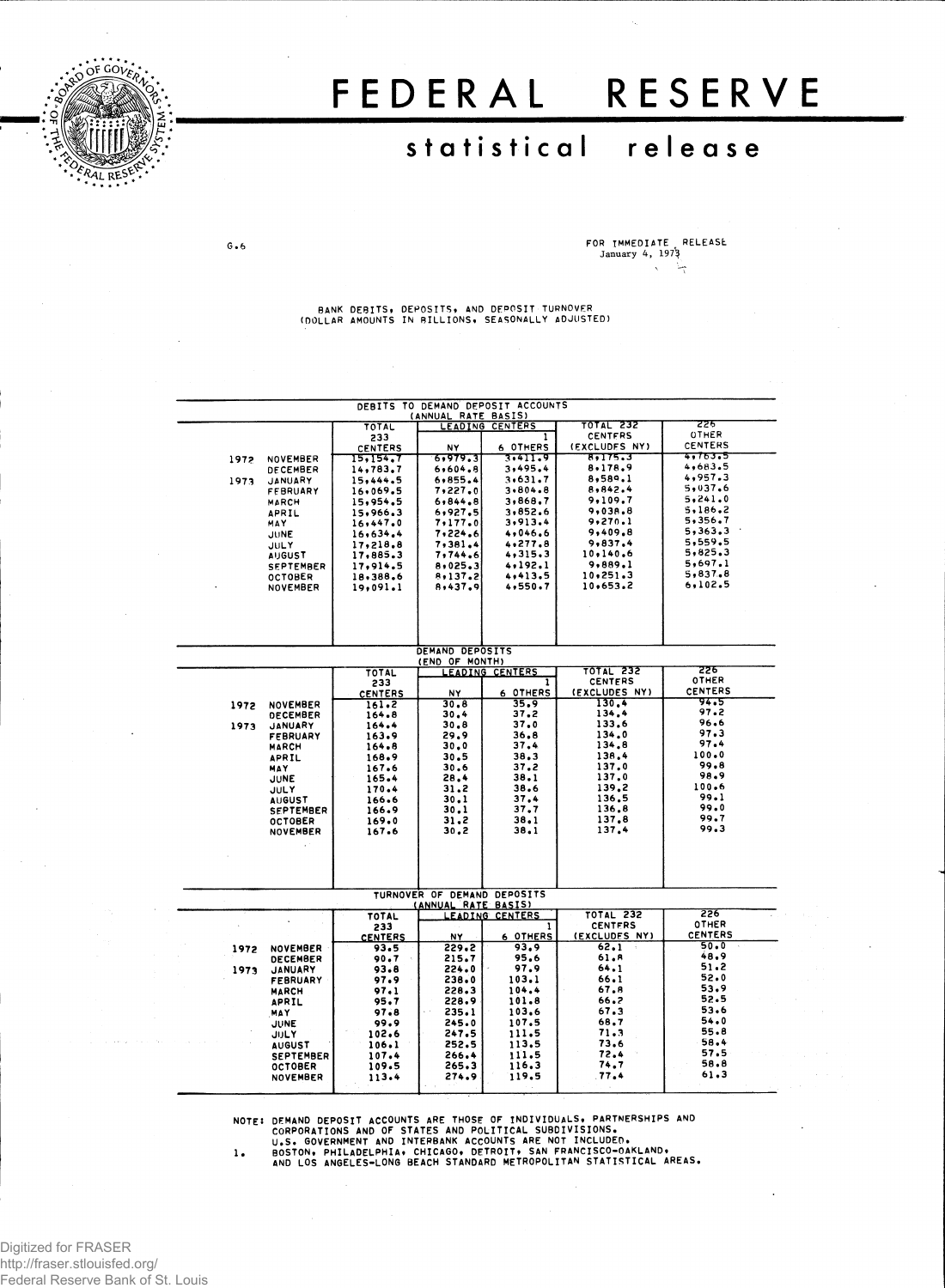

 $G - 6$ 

# FEDERAL RESERVE

# **statistica l releas e**

**FOR IMMEDIATE RELEASE January 4, 197^**  $\chi$ 

**BANK DEBITS, DEPOSITS, AND DEPOSIT TURNOVER (DOLLAR AMOUNTS IN BILLIONS\* SEASONALLY ADJUSTED)**

| DEBITS TO DEMAND DEPOSIT ACCOUNTS |                       |                      |                                   |                             |                    |                               |  |  |  |
|-----------------------------------|-----------------------|----------------------|-----------------------------------|-----------------------------|--------------------|-------------------------------|--|--|--|
|                                   |                       |                      | (ANNUAL RATE BASIS)               |                             |                    |                               |  |  |  |
|                                   |                       | TOTAL                |                                   | LEADING CENTERS             | <b>TOTAL 232</b>   | टटह                           |  |  |  |
|                                   |                       | 233                  |                                   | 1                           | <b>CENTFRS</b>     | <b>OTHER</b>                  |  |  |  |
|                                   |                       | CENTERS              | NΥ                                | 6 OTHERS                    | (EXCLUDES NY)      | CENTERS                       |  |  |  |
| 1972                              | NOVEMBER              | 15, 154, 7           | 6,979.3                           | 3.411.9                     | 8,175.3            | <del>4,763.5</del><br>4,683.5 |  |  |  |
|                                   | DECEMBER              | 14,783.7             | 6,604.8                           | 3,495.4                     | 8,178.9<br>8,589.1 | 4,957.3                       |  |  |  |
| 1973                              | JANUARY               | 15,444.5             | 6,855.4<br>7,227.0                | 3.631.7<br>3.804.8          | 8,842.4            | 5,037.6                       |  |  |  |
|                                   | <b>FFBRUARY</b>       | 16,069.5<br>15,954.5 | 6, 844, 8                         | 3,868.7                     | 9,109.7            | 5.241.0                       |  |  |  |
|                                   | <b>MARCH</b><br>APRIL | 15,966.3             | 6,927.5                           | 3,852.6                     | 9,038.8            | 5.186.2                       |  |  |  |
|                                   | MAY                   | 16,447.0             | 7,177.0                           | 3,913.4                     | 9,270.1            | 5,356,7                       |  |  |  |
|                                   | JUNE                  | 16,634.4             | 7,224.6                           | 4,046.6                     | 9,409.8            | 5,363.3                       |  |  |  |
|                                   | JULY                  | 17.218.8             | 7,381.4                           | 4,277.8                     | 9,837.4            | 5,559.5                       |  |  |  |
|                                   | <b>AUGUST</b>         | 17,885.3             | 7,744.6                           | 4,315,3                     | 10,140.6           | 5,825.3                       |  |  |  |
|                                   | <b>SEPTEMBER</b>      | 17,914.5             | 8,025,3                           | 4,192.1                     | 9,889.1            | 5,697.1                       |  |  |  |
|                                   | <b>OCTOBER</b>        | 18,388.6             | 8,137.2                           | 4,413.5                     | 10,251.3           | 5.837.8                       |  |  |  |
|                                   | <b>NOVEMBER</b>       | 19,091.1             | 8,437.9                           | 4,550.7                     | 10,653.2           | 6.102.5                       |  |  |  |
|                                   |                       |                      |                                   |                             |                    |                               |  |  |  |
|                                   |                       |                      |                                   |                             |                    |                               |  |  |  |
|                                   |                       |                      |                                   |                             |                    |                               |  |  |  |
|                                   |                       |                      |                                   |                             |                    |                               |  |  |  |
|                                   |                       |                      |                                   |                             |                    |                               |  |  |  |
|                                   |                       |                      | DEMAND DEPOSITS<br>(END OF MONTH) |                             |                    |                               |  |  |  |
|                                   |                       | TOTAL                |                                   | LEADING CENTERS             | <b>TOTAL 232</b>   | 226                           |  |  |  |
|                                   |                       | 233                  |                                   | 1                           | <b>CENTERS</b>     | OTHER                         |  |  |  |
|                                   |                       | <b>CENTERS</b>       | <b>NY</b>                         | 6 OTHERS                    | (EXCLUDES NY)      | <b>CENTERS</b>                |  |  |  |
| 1972                              | <b>NOVEMBER</b>       | 161.2                | 30.8                              | 35.9                        | 130.4              | 94.5                          |  |  |  |
|                                   | <b>DECEMBER</b>       | 164.8                | 30.4                              | 37.2                        | 134.4              | 97.2<br>96.6                  |  |  |  |
| 1973                              | <b>JANUARY</b>        | 164.4                | 30.8                              | 37.0                        | 133.6              | 97.3                          |  |  |  |
|                                   | <b>FEBRUARY</b>       | 163.9                | 29.9                              | 36.8                        | 134.0              | 97.4                          |  |  |  |
|                                   | <b>MARCH</b>          | 164.8                | 30.0                              | 37.4                        | 134.8<br>138.4     | 100.0                         |  |  |  |
|                                   | APRIL                 | 168.9                | 30.5<br>30.6                      | 38.3<br>37.2                | 137.0              | 99.8                          |  |  |  |
|                                   | <b>MAY</b><br>JUNE    | 167.6<br>165.4       | 28,4                              | 38.1                        | 137.0              | 98.9                          |  |  |  |
|                                   | <b>JULY</b>           | 170.4                | 31.2                              | 38.6                        | 139.2              | 100.6                         |  |  |  |
|                                   | <b>AUGUST</b>         | 166.6                | 30.1                              | 37.4                        | 136.5              | 99.1                          |  |  |  |
|                                   | <b>SEPTEMBER</b>      | 166.9                | 30.1                              | 37.7                        | 136.8              | 99.0                          |  |  |  |
|                                   | <b>OCTOBER</b>        | 169.0                | 31.2                              | 38.1                        | 137.8              | 99.7                          |  |  |  |
|                                   | <b>NOVEMBER</b>       | 167.6                | 30,2                              | 38.1                        | 137.4              | 99.3                          |  |  |  |
|                                   |                       |                      |                                   |                             |                    |                               |  |  |  |
|                                   |                       |                      |                                   |                             |                    |                               |  |  |  |
|                                   |                       |                      |                                   |                             |                    |                               |  |  |  |
|                                   |                       |                      |                                   |                             |                    |                               |  |  |  |
|                                   |                       |                      |                                   | TURNOVER OF DEMAND DEPOSITS |                    |                               |  |  |  |
|                                   |                       |                      | (ANNUAL RATE BASIS)               |                             |                    |                               |  |  |  |
|                                   |                       | TOTAL                |                                   | <u>LEADING CENTERS</u>      | <b>TOTAL 232</b>   | 226                           |  |  |  |
|                                   |                       | 233                  |                                   | 1                           | <b>CENTERS</b>     | OTHER                         |  |  |  |
|                                   |                       | <b>CENTERS</b>       | NY                                | <b>6 OTHERS</b>             | (EXCLUDES NY)      | <b>CENTERS</b>                |  |  |  |
| 1972                              | <b>NOVEMBER</b>       | 93.5                 | 229.2                             | 93.9                        | 62.1               | $50 - 0$<br>48.9              |  |  |  |
|                                   | <b>DECEMBER</b>       | 90.7                 | 215.7                             | 95.6                        | 61.R<br>64.1       | 51.2                          |  |  |  |
| 1973                              | <b>JANUARY</b>        | 93.8                 | 224.0                             | 97.9                        | 66.1               | 52.0                          |  |  |  |
|                                   | <b>FEBRUARY</b>       | 97.9                 | 238.0                             | 103.1<br>104.4              | 67.8               | 53.9                          |  |  |  |
|                                   | <b>MARCH</b>          | 97.1<br>95.7         | 228.3<br>228.9                    | 101.8                       | 66.2               | 52.5                          |  |  |  |
|                                   | APRIL                 | 97.8                 | 235.1                             | 103.6                       | 67.3               | 53.6                          |  |  |  |
|                                   | MAY<br><b>JUNE</b>    | 99.9                 | 245.0                             | 107.5                       | 68.7               | 54.0                          |  |  |  |
|                                   | JULY                  | 102.6                | 247.5                             | 111.5                       | 71.3               | 55.8                          |  |  |  |
|                                   | <b>AUGUST</b>         | 106.1                | 252.5                             | 113.5                       | 73.6               | 58.4                          |  |  |  |
|                                   | <b>SEPTEMBER</b>      | 107.4                | 266.4                             | 111.5                       | 72.4               | 57.5                          |  |  |  |
|                                   | <b>OCTOBER</b>        | 109.5                | 265.3                             | 116.3                       | 74.7               | 58.8                          |  |  |  |
|                                   | <b>NOVEMBER</b>       | 113.4                | 274.9                             | 119.5                       | 77.4               | 61.3                          |  |  |  |
|                                   |                       |                      |                                   |                             |                    |                               |  |  |  |

NOTE: DEMAND DEPOSIT ACCOUNTS ARE THOSE OF INDIVIDUALS, PARTNERSHIPS AND<br>CORPORATIONS AND OF STATES AND POLITICAL SUBDIVISIONS.<br>U.S. GOVERNMENT AND INTERBANK ACCOUNTS ARE NOT INCLUDED.<br>1. BOSTON, PHILADELPHIA, CHICAGO, DET

Digitized for FRASER http://fraser.stlouisfed.org/ Federal Reserve Bank of St. Louis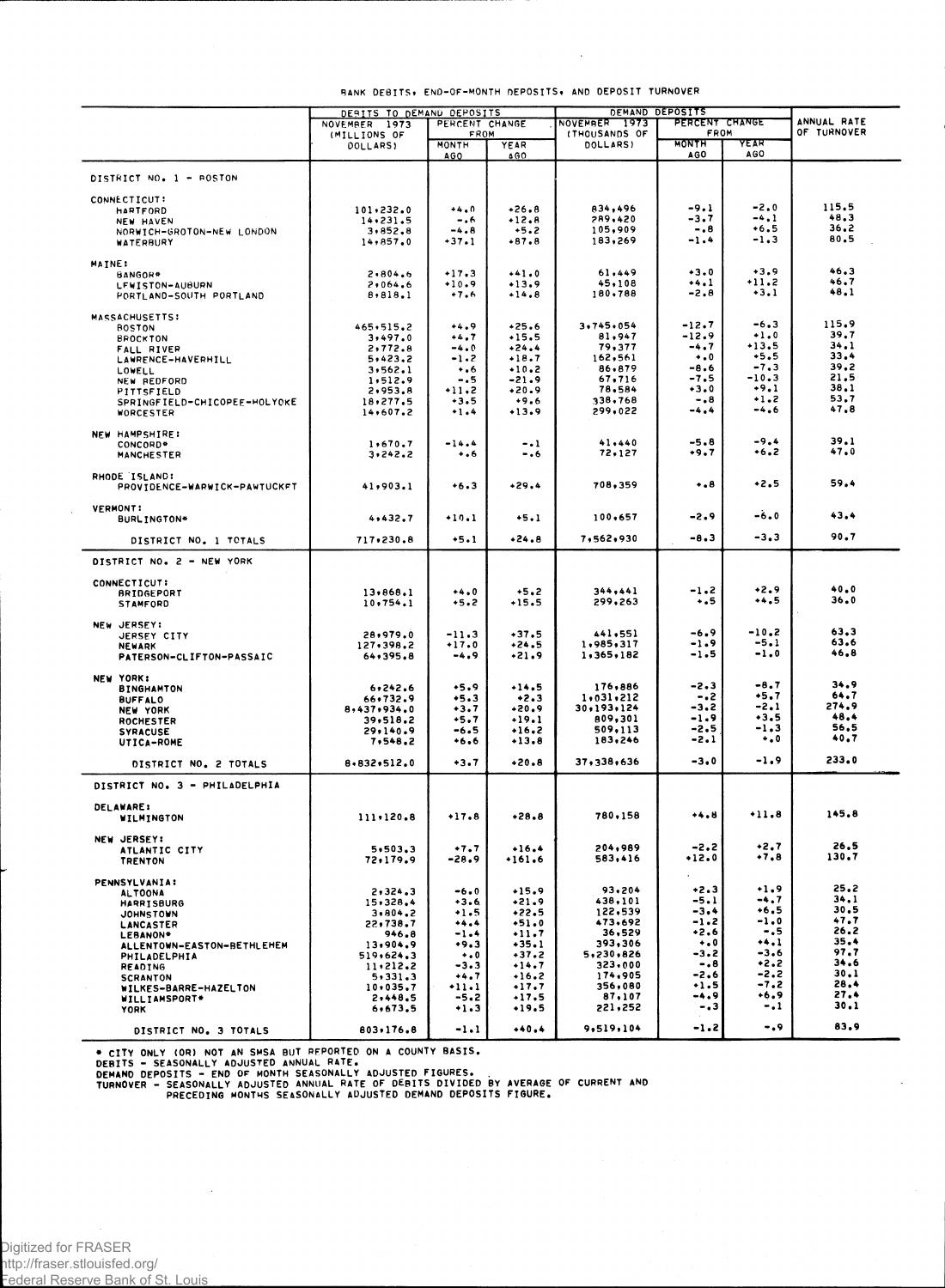|                                               | DERITS TO DEMAND DEPOSITS |                                    | DEMAND DEPOSITS      |                     |                            |                    |               |
|-----------------------------------------------|---------------------------|------------------------------------|----------------------|---------------------|----------------------------|--------------------|---------------|
|                                               | NOVEMBER 1973             | PERCENT CHANGE                     |                      | NOVEMBER 1973       | PERCENT CHANGE             |                    | ANNUAL RATE   |
|                                               | (MILLIONS OF              | FROM                               |                      | (THOUSANDS OF       | FROM                       |                    | OF TURNOVER   |
|                                               | <b>DOLLARS)</b>           | MONTH<br><b>AGO</b>                | YEAR<br><b>4 G O</b> | DOLLARS)            | <b>MONTH</b><br><b>AGO</b> | YEAR<br><b>AGO</b> |               |
|                                               |                           |                                    |                      |                     |                            |                    |               |
| DISTRICT NO. 1 - ROSTON                       |                           |                                    |                      |                     |                            |                    |               |
| CONNECTICUT:                                  |                           |                                    |                      |                     |                            |                    |               |
| <b>HARTFORD</b>                               | 101.232.0                 | $+4.0$                             | $+26.8$              | 834,496             | -9.1                       | -2.0               | 115.5<br>48.3 |
| NEW HAVEN                                     | 14.231.5                  | $-0.6$<br>$-4.8$                   | $+12.8$<br>$+5.2$    | 289,420<br>105,909  | -3.7<br>-.8                | -4.1<br>+6.5       | 36.2          |
| NORWICH-GROTON-NEW LONDON<br><b>WATERBURY</b> | 3,852.8<br>14,857.0       | $+37.1$                            | $+87.8$              | 183,269             | $-1.4$                     | -1.3               | 80.5          |
|                                               |                           |                                    |                      |                     |                            |                    |               |
| MAINE:                                        |                           |                                    |                      |                     |                            | $+3.9$             | 46.3          |
| BANGOR*                                       | 2,804.6                   | $+17.3$<br>$+10.9$                 | $+41.0$              | 61,449<br>45,108    | $+3.0$<br>$+4.1$           | $+11.2$            | 46.7          |
| LEWISTON-AUBURN<br>PORTLAND-SOUTH PORTLAND    | 2,064.6<br>8,818.1        | $+7.6$                             | $+13.9$<br>$+14.8$   | 180,788             | $-2.8$                     | $+3.1$             | 48.1          |
|                                               |                           |                                    |                      |                     |                            |                    |               |
| MASSACHUSETTS:                                |                           |                                    |                      |                     |                            |                    | 115.9         |
| <b>BOSTON</b>                                 | $465 \cdot 515.2$         | $^{44.9}$                          | $+25.6$<br>$+15.5$   | 3,745,054<br>81,947 | $-12.7$<br>$-12.9$         | -6.3<br>$+1.0$     | 39.7          |
| <b>BROCKTON</b>                               | 3,497.0<br>2,772.8        | $+4.7$<br>$-4.0$                   | $+24.4$              | 79,377              | -4.7                       | $+13.5$            | 34.1          |
| FALL RIVER<br>LAWRENCE-HAVERHILL              | 5,423.2                   | $-1.2$                             | $+18.7$              | 162,561             | $\ddotsc$                  | $+5.5$             | 33.4          |
| LOWELL                                        | 3,562.1                   | $\cdot \cdot 6$                    | $+10.2$              | 86,879              | -8.6                       | $-7.3$             | 39.2          |
| NEW REDFORD                                   | 1,512.9                   | - 5                                | -21.9                | 67,716              | -7.5                       | -10.3              | 21.5          |
| PITTSFIELD                                    | 2,953.8                   | $+11.2$                            | $+20.9$              | 78.584              | $+3.0$                     | $+9.1$<br>$+1.2$   | 38.1<br>53.7  |
| SPRINGFIELD-CHICOPEE-HOLYOKE                  | 18,277.5<br>14,607.2      | $+3.5$<br>$+1.4$                   | $+9.6$<br>$+13.9$    | 338,768<br>299,022  | $-0.8$<br>-4.4             | -4.6               | 47.8          |
| WORCESTER                                     |                           |                                    |                      |                     |                            |                    |               |
| NEW HAMPSHIRE:                                |                           |                                    |                      |                     |                            |                    |               |
| CONCORD*                                      | 1,670.7                   | $-14.4$                            | $-1$                 | 41,440              | -5.8                       | $-9.4$             | 39.1          |
| <b>MANCHESTER</b>                             | 3,242.2                   | $\ddotsc$                          | - . 6                | 72,127              | +9.7                       | $+6.2$             | 47.0          |
| RHODE ISLAND:                                 |                           |                                    |                      |                     |                            |                    |               |
| PROVIDENCE-WARWICK-PAWTUCKFT                  | 41,903.1                  | $+6.3$                             | $+29.4$              | 708,359             | $\ddotsc$                  | $+2.5$             | 59.4          |
|                                               |                           |                                    |                      |                     |                            |                    |               |
| <b>VERMONT:</b>                               |                           |                                    |                      |                     |                            |                    | 43.4          |
| BURLINGTON*                                   | 4,432.7                   | +10.1                              | $+5.1$               | 100,657             | -2.9                       | $-6.0$             |               |
| DISTRICT NO. 1 TOTALS                         | 717,230.8                 | $+5.1$                             | $+24.8$              | 7,562,930           | -8.3                       | $-3,3$             | 90.7          |
|                                               |                           |                                    |                      |                     |                            |                    |               |
| DISTRICT NO. 2 - NEW YORK                     |                           |                                    |                      |                     |                            |                    |               |
| CONNECTICUT:                                  |                           |                                    |                      |                     |                            |                    |               |
| <b>BRIDGEPORT</b>                             | 13,868.1                  | $+4.0$                             | $+5.2$               | 344,441             | -1.2                       | $+2.9$             | 40.0          |
| <b>STAMFORD</b>                               | 10,754.1                  | +5.2                               | $+15.5$              | 299,263             | $\ddotsc$                  | +4.5               | 36.0          |
| NEW JERSEY:                                   |                           |                                    |                      |                     |                            |                    |               |
| JERSEY CITY                                   | 28,979.0                  | $-11.3$                            | $+37.5$              | 441,551             | -6.9                       | $-10,2$            | 63.3          |
| <b>NEWARK</b>                                 | 127,398.2                 | $+17.0$                            | $+24.5$              | 1,985,317           | -1.9                       | $-5.1$             | 63.6          |
| PATERSON-CLIFTON-PASSAIC                      | 64,395.8                  | $-4.9$                             | $+21.9$              | 1,365,182           | -1.5                       | $-1.0$             | 46,8          |
| <b>NEW YORK:</b>                              |                           |                                    |                      |                     |                            |                    |               |
| <b>BINGHAMTON</b>                             | 6, 242.6                  | $+5.9$                             | $+14.5$              | 176,886             | -2.3                       | -8.7               | 34.9          |
| <b>BUFFALO</b>                                | 66,732.9                  | $+5.3$                             | $+2.3$               | 1,031,212           | -.2                        | $+5.7$             | 64.7          |
| <b>NEW YORK</b>                               | 8,437,934.0               | $+3.7$                             | $+20.9$              | 30,193,124          | -3.2                       | -2.1               | 274,9<br>48.4 |
| <b>ROCHESTER</b>                              | 39,518.2                  | $+5.7$                             | $+19.1$              | 809,301<br>509,113  | -1.9<br>-2.5               | $+3.5$<br>-1.3     | 56.5          |
| <b>SYRACUSE</b><br>UTICA-ROME                 | 29,140.9<br>7,548.2       | -6.5<br>$+6.6$                     | $+16.2$<br>$+13.8$   | 183,246             | -2.1                       | $\ddotsc$          | 40,7          |
|                                               |                           |                                    |                      |                     |                            |                    |               |
| DISTRICT NO. 2 TOTALS                         | 8,832,512.0               | $+3.7$                             | $+20.8$              | 37,338,636          | -3.0                       | -1.9               | 233.0         |
| DISTRICT NO. 3 - PHILADELPHIA                 |                           |                                    |                      |                     |                            |                    |               |
|                                               |                           |                                    |                      |                     |                            |                    |               |
| <b>DELAWARE:</b><br>WILMINGTON                | 111.120.8                 | $+17.8$                            | $+28.8$              | 780,158             | ****                       | $+11.8$            | 145.8         |
|                                               |                           |                                    |                      |                     |                            |                    |               |
| <b>NEW JERSEY:</b>                            |                           |                                    |                      |                     |                            |                    |               |
| ATLANTIC CITY                                 | 5,503.3                   | $+7.7$                             | $+16.4$              | 204,989             | -2.2                       | +2.7<br>$+7,8$     | 26,5<br>130.7 |
| <b>TRENTON</b>                                | 72,179.9                  | -28.9                              | $+161.6$             | 583,416             | $+12.0$                    |                    |               |
| PENNSYLVANIA:                                 |                           |                                    |                      |                     |                            |                    |               |
| <b>ALTOONA</b>                                | 2,324.3                   | $-6.0$                             | $+15.9$              | 93,204              | $+2.3$                     | $+1.9$             | 25.2          |
| <b>HARRISBURG</b>                             | 15,328,4                  | $+3.6$                             | $-21.9$              | 438,101             | -5.1                       | $-4.7$             | 34,1          |
| <b>JOHNSTOWN</b>                              | 3,804,2                   | $+1.5$                             | $+22.5$              | 122,539<br>473,692  | $-3.4$<br>-1.2             | $+6.5$<br>$-1.0$   | 30.5<br>47.7  |
| LANCASTER                                     | 22,738.7<br>946.8         | <br>$-1.4$                         | $+51.0$<br>$+11.7$   | 36,529              | $+2.6$                     | -.5                | 26.2          |
| LEBANON*<br>ALLENTOWN-EASTON-BETHLEHEM        | 13,904.9                  | $+9.3$                             | $+35.1$              | 393,306             | $\bullet$ . 0              | $+4.1$             | 35.4          |
| PHILADELPHIA                                  | 519,624.3                 | $\ddotsc$                          | $+37.2$              | 5,230,826           | -3.2                       | $-3.6$             | 97.7          |
| <b>READING</b>                                | 11,212.2                  | $-3.3$                             | $+14.7$              | 323,000             | $-0.8$                     | $+2.2$             | 34.6          |
| <b>SCRANTON</b>                               | 5,331.3                   | $+4.7$                             | $+16.2$              | 174,905<br>356,080  | -2.6<br>$+1.5$             | -2.2<br>$-7.2$     | 30.1<br>28.4  |
| WILKFS-BARRE-HAZELTON                         | 10,035.7<br>2,448.5       | $^{\tiny{\text{+1.1}} }$<br>$-5.2$ | $+17.7$<br>$+17.5$   | 87,107              | -4.9                       | +6.9               | 27.4          |
| WILLIAMSPORT*<br><b>YORK</b>                  | 6,673.5                   | $+1.3$                             | $+19.5$              | 221,252             | $-0.3$                     | $-1$               | 30.1          |
|                                               |                           |                                    |                      |                     |                            |                    |               |
| DISTRICT NO. 3 TOTALS                         | 803,176.8                 | $-1.1$                             | $+40.4$              | 9,519,104           | -1.2                       | -. 9               | 83.9          |

### **RANK DEBITS . ENO-OF-MONT H DEPOSITS , A ND DEPOSI T TURNOVE R**

® CITY ONLY (OR) NOT AN SMSA BUT REPORTED ON A COUNTY BASIS.<br>DEBITS — SEASONALLY ADJUSTED ANNUAL RATE.<br>DEMAND DEPOSITS – END OF MONTH SEASONALLY ADJUSTED FIGURES.<br>TURNOVER – SEASONALLY ADJUSTED ANNUAL RATE OF OEBITS DIVIDE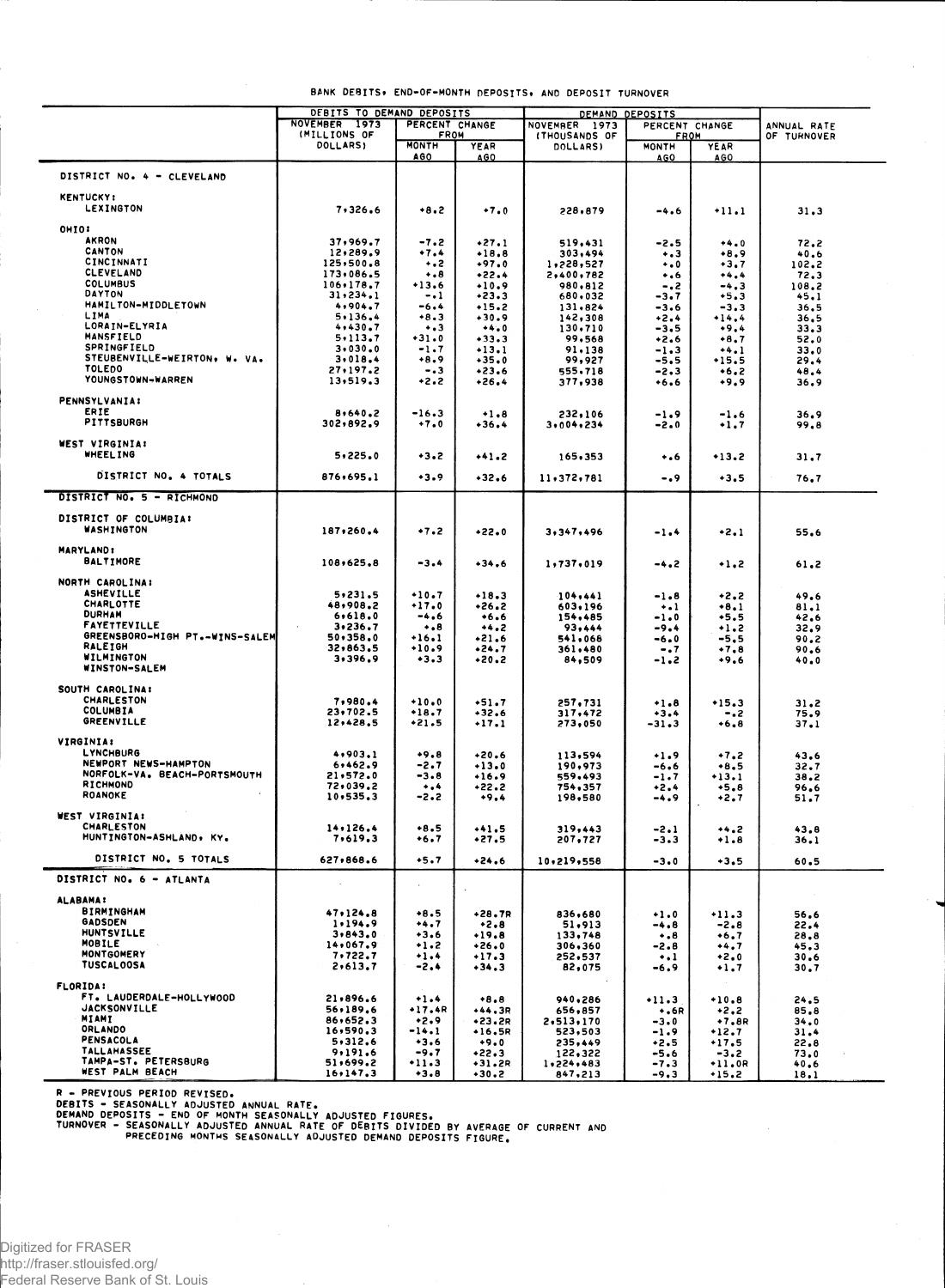|                                    | DEBITS TO DEMAND DEPOSITS |                | DEMAND DEPOSITS |                                 |             |          |             |
|------------------------------------|---------------------------|----------------|-----------------|---------------------------------|-------------|----------|-------------|
|                                    | NOVEMBER 1973             | PERCENT CHANGE |                 | NOVEMBER 1973<br>PERCENT CHANGE |             |          | ANNUAL RATE |
|                                    | (MILLIONS OF              | <b>FROM</b>    |                 | (THOUSANDS OF                   | <b>FROM</b> |          | OF TURNOVER |
|                                    | DOLLARS)                  | <b>MONTH</b>   | YEAR            | DOLLARS)                        | MONTH       | YEAR     |             |
|                                    |                           | AGO            | AGO             |                                 | AGO         | AGO      |             |
| DISTRICT NO. 4 - CLEVELAND         |                           |                |                 |                                 |             |          |             |
|                                    |                           |                |                 |                                 |             |          |             |
| <b>KENTUCKY:</b>                   |                           |                |                 |                                 |             |          |             |
| <b>LEXINGTON</b>                   | 7,326.6                   | $+8.2$         | $+7.0$          | 228,879                         | -4.6        | -11.1    | 31,3        |
|                                    |                           |                |                 |                                 |             |          |             |
| <b>OHIO!</b>                       |                           |                |                 |                                 |             |          |             |
| <b>AKRON</b>                       | 37,969.7                  | $-7.2$         | $+27.1$         | 519,431                         | -2.5        | $+4.0$   | 72.2        |
| CANTON                             | 12,289.9                  | $+7.4$         | $+18.8$         | 303,494                         | $\ddotsc$   | $+8.9$   | 40.6        |
| CINCINNATI                         | 125,500.8                 | $\ddotsc$      | $-97.0$         | 1,228,527                       | $\ddotsc$   | $+3.7$   | 102.2       |
| CLEVELAND                          | 173,086.5                 | $\ddotsc$      | $+22.4$         | 2,400,782                       | ۰. ه        | +4.4     | 72,3        |
| <b>COLUMBUS</b>                    | 106.178.7                 | $+13.6$        | $+10.9$         | 980,812                         | -.2         | $-4.3$   | 108.2       |
| <b>DAYTON</b>                      | 31,234.1                  | $-1$           | $+23.3$         | 680,032                         | $-3.7$      | $+5.3$   | 45.1        |
| HAMILTON-MIDDLETOWN                | 4,904.7                   | -6.4           | $+15.2$         | 131,824                         | $-3.6$      | $-3,3$   | 36.5        |
| LIMA                               | 5,136.4                   | $+8.3$         | $+30.9$         | 142,308                         | $+2.4$      | $+14.4$  | 36.5        |
| LORAIN-ELYRIA<br><b>MANSFIELD</b>  | 4,430.7                   | $\ddotsc$      | $+4.0$          | 130,710                         | $-3.5$      | $+9.4$   | 33.3        |
| <b>SPRINGFIELD</b>                 | 5,113.7                   | $+31.0$        | $+33.3$         | 99,568                          | $+2.6$      | $+8.7$   | 52.0        |
|                                    | 3.030.0                   | $-1.7$         | $+13.1$         | 91.138                          | $-1.3$      | $+4.1$   | 33.0        |
| STEUBENVILLE-WEIRTON, W. VA.       | 3.018.4                   | $+8.9$         | $+35.0$         | 99,927                          | -5.5        | $+15.5$  | 29.4        |
| <b>TOLEDO</b><br>YOUNGSTOWN-WARREN | 27,197.2                  | - . 3          | +23.6           | 555,718                         | $-2.3$      | $+6.2$   | 48.4        |
|                                    | 13,519.3                  | +2.2           | -26.4           | 377,938                         | $+6.6$      | $+9.9$   | 36.9        |
| <b>PENNSYLVANIA:</b>               |                           |                |                 |                                 |             |          |             |
| ERIE                               |                           |                |                 |                                 |             |          |             |
| <b>PITTSBURGH</b>                  | 8,640,2                   | $-16.3$        | $+1.8$          | 232,106                         | -1.9        | $-1.6$   | 36.9        |
|                                    | 302,892.9                 | $+7.0$         | -36.4           | 3,004,234                       | -2.0        | $+1.7$   | 99.8        |
| <b>WEST VIRGINIA:</b>              |                           |                |                 |                                 |             |          |             |
| <b>WHEELING</b>                    | 5,225.0                   | $+3.2$         |                 |                                 |             |          |             |
|                                    |                           |                | +41.2           | 165,353                         | $\ddotsc$   | +13.2    | 31.7        |
| DISTRICT NO. 4 TOTALS              | 876,695.1                 | $-3.9$         | $+32.6$         |                                 |             |          |             |
|                                    |                           |                |                 | 11,372,781                      | -.9         | $+3.5$   | 76.7        |
| DISTRICT NO. 5 - RICHMOND          |                           |                |                 |                                 |             |          |             |
|                                    |                           |                |                 |                                 |             |          |             |
| DISTRICT OF COLUMBIA:              |                           |                |                 |                                 |             |          |             |
| <b>WASHINGTON</b>                  | 187,260.4                 | $+7.2$         | $+22.0$         | 3,347,496                       | -1.4        | $+2.1$   | 55.6        |
|                                    |                           |                |                 |                                 |             |          |             |
| <b>MARYLAND:</b>                   |                           |                |                 |                                 |             |          |             |
| <b>BALTIMORE</b>                   | 108,625.8                 | -3.4           | $+34.6$         | 1,737,019                       | -4.2        | $+1,2$   | 61.2        |
|                                    |                           |                |                 |                                 |             |          |             |
| NORTH CAROLINA:                    |                           |                |                 |                                 |             |          |             |
| <b>ASHEVILLE</b>                   | 5,231.5                   | $+10.7$        | $+18.3$         | 104,441                         | -1.8        | +2.2     | 49.6        |
| CHARLOTTE                          | 48,908.2                  | $+17.0$        | +26.2           | 603,196                         | $\ddotsc$   | $+8.1$   | 81.1        |
| <b>DURHAM</b>                      | 6,618.0                   | -4.6           | $+6.6$          | 154,485                         | $-1.0$      | $+5.5$   | 42.6        |
| <b>FAYETTEVILLE</b>                | 3.236.7                   | $\ddotsc$      | $+4.2$          | 93,444                          | -9.4        | +1.2     | 32.9        |
| GREENSBORO-HIGH PT.-WINS-SALEM     | 50,358.0                  | $+16.1$        | $+21.6$         | 541,068                         | -6.0        | -5.5     | 90.2        |
| RALEIGH                            | 32,863,5                  | $+10.9$        | +24.7           | 361,480                         | $-0.7$      | $+7.8$   | 90.6        |
| WILMINGTON                         | 3,396.9                   | $+3.3$         | $+20.2$         | 84,509                          | -1.2        | +9.6     | 40.0        |
| WINSTON-SALEM                      |                           |                |                 |                                 |             |          |             |
|                                    |                           |                |                 |                                 |             |          |             |
| SOUTH CAROLINA:                    |                           |                |                 |                                 |             |          |             |
| CHARLESTON                         | 7,980.4                   | $+10.0$        | $+51.7$         | 257,731                         | $+1.8$      | $*15.3$  | 31.2        |
| <b>COLUMBIA</b>                    | 23,702.5                  | $+18.7$        | $+32.6$         | 317,472                         | $+3.4$      | -.2      | 75.9        |
| <b>GREENVILLE</b>                  | 12,428.5                  | $*21.5$        | $+17.1$         | 273,050                         | -31.3       | $+6.8$   | 37.1        |
|                                    |                           |                |                 |                                 |             |          |             |
| <b>VIRGINIA:</b>                   |                           |                |                 |                                 |             |          |             |
| LYNCHBURG                          | 4,903.1                   | $+9.8$         | $+20.6$         | 113,594                         | ۰۱.,        | $+7.2$   | 43.6        |
| NEWPORT NEWS-HAMPTON               | 6,462.9                   | -2.7           | $+13.0$         | 190,973                         | -6.6        | $+8,5$   | 32.7        |
| NORFOLK-VA. BEACH-PORTSMOUTH       | 21,572.0                  | -3.8           | $+16.9$         | 559,493                         | -1.7        | $+13.1$  | 38.2        |
| RICHMOND                           | 72,039.2                  | $\ddotsc$      | $+22.2$         | 754,357                         | $+2.4$      | $+5.8$   | 96.6        |
| <b>ROANOKE</b>                     | 10, 535.3                 | -2.2           | $+9.4$          | 198,580                         | -4.9        | +2.7     | 51.7        |
|                                    |                           |                |                 |                                 |             |          |             |
| WEST VIRGINIA:<br>CHARLESTON       |                           |                |                 |                                 |             |          |             |
| HUNTINGTON-ASHLAND, KY.            | 14.126.4<br>7,619.3       | +8.5           | $+41.5$         | 319,443                         | -2.1        | $+4.2$   | 43.6        |
|                                    |                           | +6.7           | +27.5           | 207,727                         | -3.3        | $+1.8$   | 36.1        |
| DISTRICT NO. 5 TOTALS              | 627,868.6                 | $+5.7$         |                 |                                 |             |          |             |
|                                    |                           |                | $+24.6$         | 10,219,558                      | $-3.0$      | $+3.5$   | 60.5        |
| DISTRICT NO. 6 - ATLANTA           |                           |                |                 |                                 |             |          |             |
|                                    | $\epsilon$                |                |                 |                                 |             |          |             |
| <b>ALABAMA:</b>                    |                           |                |                 |                                 |             |          |             |
| <b>BIRMINGHAM</b>                  | 47.124.8                  | $+8.5$         | $+28.7R$        | 836,680                         | $+1.0$      | $+11.3$  | 56.6        |
| <b>GADSDEN</b>                     | 1,194.9                   | $+4.7$         | $+2.8$          | 51,913                          | -4.8        | $-2.8$   | 22.4        |
| <b>HUNTSVILLE</b>                  | 3.843.0                   | $+3.6$         | $+19.8$         | 133,748                         | $\ddotsc$   | $+6.7$   | 28,8        |
| MOBILE                             | 14,067,9                  | $+1.2$         | $+26.0$         | 306,360                         | -2.8        | $+4.7$   | 45.3        |
| MONTGOMERY                         | 7,722.7                   | $+1.4$         | $+17.3$         | 252,537                         | $\ddotsc$   | $+2.0$   | 30.6        |
| <b>TUSCALOOSA</b>                  | 2,613.7                   | $-2.4$         | $-34.3$         | 82,075                          | $-6.9$      | $+1.7$   | 30.7        |
|                                    |                           |                |                 |                                 |             |          |             |
| <b>FLORIDA:</b>                    |                           |                |                 |                                 |             |          |             |
| FT. LAUDERDALE-HOLLYWOOD           | 21,896.6                  | $+1.4$         | $+8.8$          | 940,286                         | $+11.3$     | $+10.8$  | 24.5        |
| <b>JACKSONVILLE</b>                | 56,189.6                  | $+17.4R$       | $+44.3R$        | 656,857                         | $+0.6R$     | $+2.2$   | 85.8        |
| MIAMI                              | 86,652.3                  | $+2.9$         | $+23.2R$        | 2,513,170                       | $-3.0$      | $+7.8R$  | 34.0        |
| ORLANDO                            | 16,590.3                  | -14.1          | $+16,5R$        | 523,503                         | $-1.9$      | $+12.7$  | 31.4        |
| PENSACOLA                          | 5,312.6                   | $-3.6$         | $+9.0$          | 235,449                         | $+2.5$      | $+17.5$  | 22.8        |
| <b>TALLAHASSEE</b>                 | 9,191.6                   | $-9.7$         | $+22.3$         | 122,322                         | -5.6        | $-3.2$   | 73.0        |
| TAMPA-ST. PETERSBURG               | 51,699.2                  | $+11.3$        | +31.2R          | 1,224,483                       | -7.3        | $+11.0R$ | 40.6        |
| <b>WEST PALM BEACH</b>             | 16, 147, 3                | $+3.8$         | $+30.2$         | 847,213                         | $-9.3$      | $+15.2$  | 18.1        |

# **BANK DEBITS \* END-OF-MONT H DEPOSITS , A ND DEPOSI T TURNOVE R**

R – PREVIOUS PERIOD REVISED.<br>DEBITS – SEASONALLY ADJUSTED ANNUAL RATE.<br>DEMAND DEPOSITS – END OF MONTH SEASONALLY ADJUSTED FIGURES.<br>TURNOVER – SEASONALLY ADJUSTED ANNUAL RATE OF ENTITS DIVIDED BY AVERAGE OF CURRENT AND<br>TURN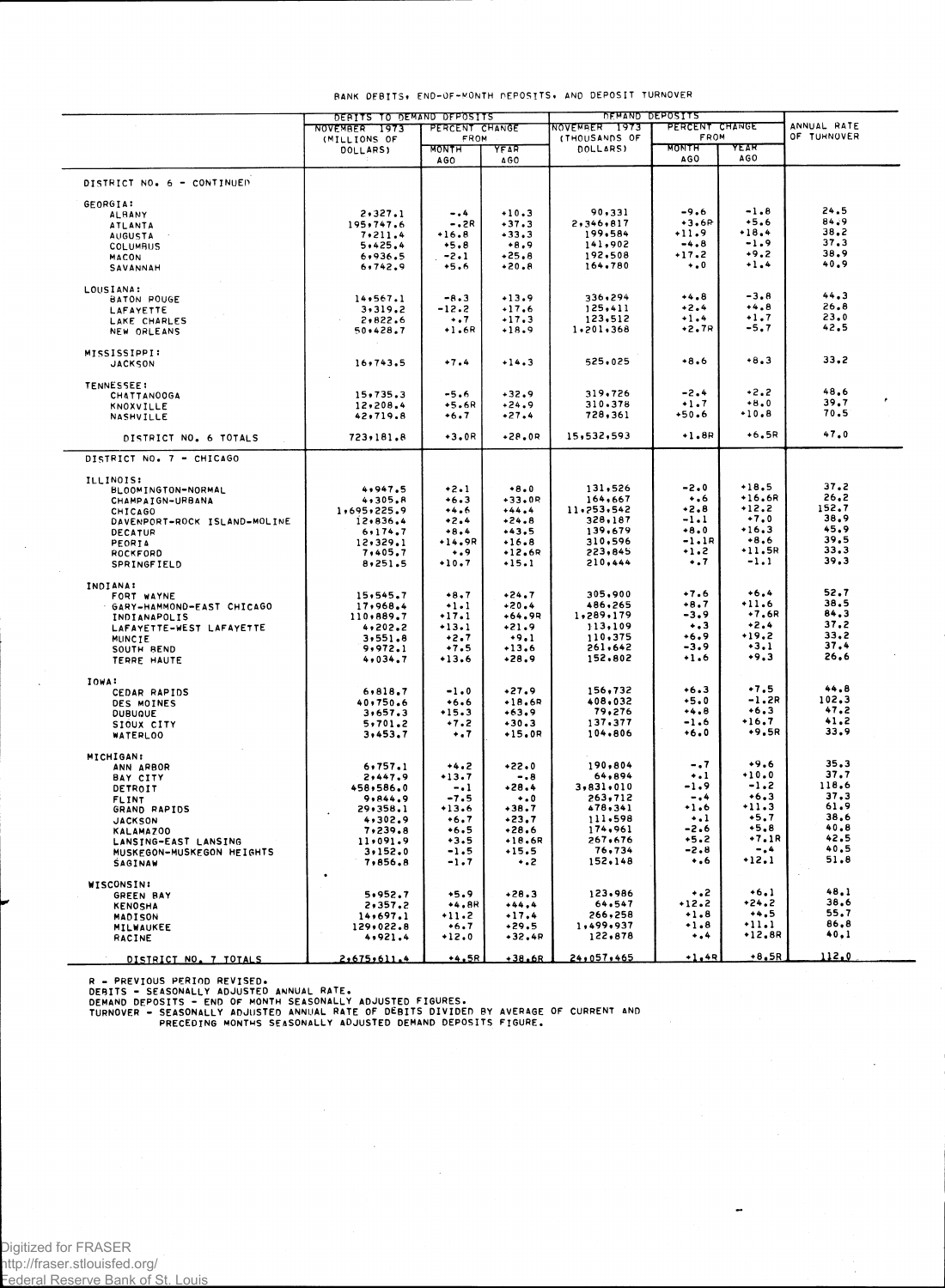|                                    | DERITS TO DEMAND DEPOSITS       |                     |                    | DEMAND DEPOSITS                         |                   |                    |                            |  |
|------------------------------------|---------------------------------|---------------------|--------------------|-----------------------------------------|-------------------|--------------------|----------------------------|--|
|                                    | PERCENT CHANGE<br>NOVEMBER 1973 |                     |                    | NOVEMBER 1973<br>PERCENT CHANGE<br>FROM |                   |                    | ANNUAL RATE<br>OF TURNOVER |  |
|                                    | (MILLIONS OF                    | FROM                |                    | (THOUSANDS OF                           | <b>MONTH</b>      | YEAR               |                            |  |
|                                    | DOLLARS)                        | <b>MONTH</b><br>AG0 | YFAR<br>460        | DOLLARS)                                | AGO               | AGO                |                            |  |
| DISTRICT NO. 6 - CONTINUED         |                                 |                     |                    |                                         |                   |                    |                            |  |
| GEORGIA:                           |                                 |                     |                    |                                         |                   |                    |                            |  |
| <b>ALBANY</b>                      | 2,327.1                         | $-0.4$              | $+10.3$            | 90,331                                  | -9.6              | $-1.8$             | 24.5                       |  |
| ATLANTA                            | 195,747.6                       | -.2R                | $+37.3$            | 2,346,817                               | $+3.6P$           | $+5.6$             | 84.9<br>38.2               |  |
| AUGUSTA                            | 7,211.4                         | $+16.8$             | $+33.3$            | 199,584                                 | $+11.9$           | $+18,4$<br>$-1.9$  | 37,3                       |  |
| COLUMBUS                           | 5,425,4                         | $+5.8$              | $+8.9$<br>$+25.8$  | 141,902<br>192,508                      | $-4.8$<br>$+17.2$ | $+9.2$             | 38.9                       |  |
| <b>MACON</b><br>SAVANNAH           | 6,936.5<br>6,742.9              | $-2.1$<br>$+5.6$    | $+20.8$            | 164,780                                 | $\ddotsc$         | $+1.4$             | 40.9                       |  |
|                                    |                                 |                     |                    |                                         |                   |                    |                            |  |
| LOUSIANA:<br>BATON POUGE           | 14, 567.1                       | $-8.3$              | $+13.9$            | 336,294                                 | $+4.8$            | $-3.8$             | 44.3                       |  |
| LAFAYETTE                          | 3,319.2                         | $-12.2$             | $+17.6$            | 125,411                                 | $+2.4$            | $+4.8$             | 26.8                       |  |
| LAKE CHARLES                       | 2,822.6                         | $+ 1.7$             | $-17.3$            | 123,512                                 | +1.4              | $+1.7$             | 23.0                       |  |
| NEW ORLEANS                        | 50,428.7                        | +1.6R               | $+18.9$            | 1,201,368                               | $+2.7R$           | -5.7               | 42.5                       |  |
| MISSISSIPPI:                       |                                 |                     |                    |                                         |                   |                    |                            |  |
| <b>JACKSON</b>                     | 16,743.5                        | $+7.4$              | $+14.3$            | 525,025                                 | $+8.6$            | $+8.3$             | 33.2                       |  |
| <b>TENNESSEE:</b>                  |                                 |                     |                    |                                         |                   | $+2.2$             | 48.6                       |  |
| <b>CHATTANOOGA</b>                 | 15,735.3                        | -5.6<br>$+5.6R$     | $+32.9$<br>$+24.9$ | 319,726<br>310.378                      | -2.4<br>$+1.7$    | $+8.0$             | 39.7                       |  |
| KNOXVILLE<br>NASHVILLE             | 12,208.4<br>42,719.8            | $+6.7$              | +27.4              | 728,361                                 | +50.6             | $+10.8$            | 70.5                       |  |
| DISTRICT NO. 6 TOTALS              | 723,181.8                       | $+3.0R$             | $+28.0R$           | 15,532,593                              | +1.8R             | $+6,5R$            | 47.0                       |  |
| DISTRICT NO. 7 - CHICAGO           |                                 |                     |                    |                                         |                   |                    |                            |  |
|                                    |                                 |                     |                    |                                         |                   |                    |                            |  |
| ILLINOIS:                          | 4,947.5                         |                     | $+8.0$             | 131,526                                 | -2.0              | $+18.5$            | 37.2                       |  |
| BLOOMINGTON-NORMAL                 | 4,305.8                         | $+2.1$<br>$+6.3$    | $+33.0R$           | 164,667                                 | $+16$             | $+16.6R$           | 26.2                       |  |
| CHAMPAIGN-URBANA<br><b>CHICAGO</b> | 1,695,225.9                     | $+4.6$              | $+44.4$            | 11,253,542                              | +2.8              | +12.2              | 152.7                      |  |
| DAVENPORT-ROCK ISLAND-MOLINE       | 12,836.4                        | $+2.4$              | $+24.8$            | 328,187                                 | -1.1              | $+7.0$             | 38.9                       |  |
| <b>DECATUR</b>                     | 6.174.7                         | $+8.4$              | $+43,5$            | 139,679                                 | $+8.0$            | $+16,3$            | 45.9                       |  |
| PEORIA                             | 12,329.1                        | $+14.9R$            | $+16.8$            | 310,596                                 | $-1.1R$           | $+8.6$             | 39.5                       |  |
| ROCKFORD                           | 7,405.7                         | $\dots$ 9           | $+12.6R$           | 223,845                                 | $-.2$             | +11.5R             | 33.3                       |  |
| <b>SPRINGFIELD</b>                 | 8.251.5                         | $+10.7$             | $+15.1$            | 210,444                                 | $\ddotsc$         | $-1.1$             | 39.3                       |  |
| INDIANA:                           |                                 |                     |                    |                                         |                   |                    |                            |  |
| FORT WAYNE                         | 15,545.7                        | $+8.7$              | $+24.7$            | 305,900                                 | $+7.6$            | $+6.4$             | 52.7<br>38.5               |  |
| GARY-HAMMOND-EAST CHICAGO          | 17,968.4                        | $+1.1$              | $+20.4$            | 486,265                                 | $+8.7$<br>$-3.9$  | $+11.6$<br>$+7.6R$ | 84.3                       |  |
| INDIANAPOLIS                       | 110,889.7                       | $+17.1$             | $+64,9R$           | 1,289,179                               | $\ddotsc$         | $+2.4$             | 37.2                       |  |
| LAFAYETTE-WEST LAFAYETTE           | 4,202.2                         | $+13.1$             | $+21.9$            | 113,109<br>110,375                      | $+6.9$            | $+19.2$            | 33.2                       |  |
| MUNCIE                             | 3, 551.8<br>9,972.1             | $+2.7$<br>$+7.5$    | $+9.1$<br>$+13.6$  | 261,642                                 | $-3.9$            | $+3.1$             | 37.4                       |  |
| SOUTH BEND<br>TERRE HAUTE          | 4,034,7                         | $+13.6$             | $+28.9$            | 152,802                                 | $+1.6$            | $+9.3$             | 26.6                       |  |
| IOWA:                              |                                 |                     |                    |                                         |                   |                    |                            |  |
| CEDAR RAPIDS                       | 6,818.7                         | $-1.0$              | $+27.9$            | 156,732                                 | $+6.3$            | $+7.5$             | 44.8                       |  |
| DES MOINES                         | 40,750.6                        | $+6.6$              | $+18.6R$           | 408,032                                 | $+5.0$            | $-1.2R$            | 102.3                      |  |
| <b>DUBUQUE</b>                     | 3,657.3                         | $+15.3$             | $+63.9$            | 79,276                                  | $+4.8$            | $+6.3$             | 47.2                       |  |
| SIOUX CITY                         | 5,701.2                         | $+7.2$              | $+30.3$            | 137.377                                 | $-1.6$            | $+16.7$<br>$+9.5R$ | 41.2<br>33.9               |  |
| WATERLOO                           | 3,453.7                         | $\ddotsc$           | $+15.0R$           | 104,806                                 | $+6.0$            |                    |                            |  |
| <b>MICHIGAN:</b>                   |                                 |                     |                    |                                         |                   |                    |                            |  |
| ANN ARBOR                          | 6,757.1                         | $+4.2$              | $+22.0$            | 190,804                                 | $-0.7$            | $+9.6$<br>$+10.0$  | 35.3<br>37.7               |  |
| BAY CITY                           | 2,447.9                         | +13.7               | $-0.8$<br>$+28.4$  | 64,894<br>3,831,010                     | $\ddotsc$<br>-1.9 | $-1.2$             | 118.6                      |  |
| DETROIT                            | 458,586.0                       | $-1$                |                    | 263,712                                 | -.4               | $+6.3$             | 37.3                       |  |
| <b>FLINT</b>                       | 9,844.9<br>29,358.1             | $-7.5$<br>$+13.6$   | $+0$<br>$+38.7$    | 478,341                                 | $+1.6$            | $+11.3$            | 61.9                       |  |
| GRAND RAPIDS<br><b>JACKSON</b>     | 4,302.9                         | $+6.7$              | +23.7              | 111,598                                 | $\ddotsc$         | $+5.7$             | 38,6                       |  |
| KALAMAZ00                          | 7,239.8                         | $+6.5$              | $+28.6$            | 174,961                                 | -2.6              | $+5.8$             | 40.8                       |  |
| LANSING-EAST LANSING               | 11.091.9                        | $+3.5$              | $+18.6R$           | 267,676                                 | $+5.2$            | $+7.1R$            | 42.5                       |  |
| MUSKEGON-MUSKEGON HEIGHTS          | 3,152.0                         | $-1.5$              | $+15.5$            | 76,734                                  | -2.8              | $-0.4$             | 40.5                       |  |
| <b>SAGINAW</b>                     | 7,856.8                         | $-1.7$              | $\cdot$ . 2        | 152,148                                 | $\ddotsc$         | $+12.1$            | 51.8                       |  |
| WISCONSIN:                         |                                 |                     |                    | 123,986                                 | $\ddotsc$         | $+6.1$             | 48.1                       |  |
| <b>GREEN BAY</b>                   | 5.952.7                         | $+5.9$<br>$+4.8R$   | $+28.3$<br>$+44.4$ | 64,547                                  | +12.2             | +24.2              | 38.6                       |  |
| <b>KENOSHA</b>                     | 2,357.2<br>14,697.1             | $+11.2$             | $+17.4$            | 266,258                                 | +1.8              | $+4.5$             | 55.7                       |  |
| MADISON<br>MILWAUKEE               | 129,022.8                       | $+6.7$              | $+29.5$            | 1,499,937                               | $+1.8$            | $+11.1$            | 86,8                       |  |
| RACINE                             | 4,921.4                         | $*12.0$             | $+32,4P$           | 122,878                                 | $\ddotsc$         | $+12,8R$           | 40,1                       |  |
| DISTRICT NO. 7 TOTALS              | 2,675,611.4                     | +4.5R               | $+38.6R$           | 24,057,465                              | $+1.48$           | +8.5R              | 112.0                      |  |

## BANK DEBITS, END-OF-MONTH DEPOSITS, AND DEPOSIT TURNOVER

R – PREVIOUS PERIOD REVISED.<br>DEBITS – SEASONALLY ADJUSTED ANNUAL RATE.<br>DEMAND DEPOSITS – END OF MONTH SEASONALLY ADJUSTED FIGURES.<br>TURNOVER – SEASONALLY ADJUSTED ANNUAL RATE OF DEBITS DIVIDED BY AVERAGE OF CURRENT AND<br>PREC

 $\sim 10^{-1}$ 

 $\mathcal{A}_\mathrm{c}$ 

 $\ddot{\phantom{a}}$ 

 $\frac{1}{\sqrt{2}}$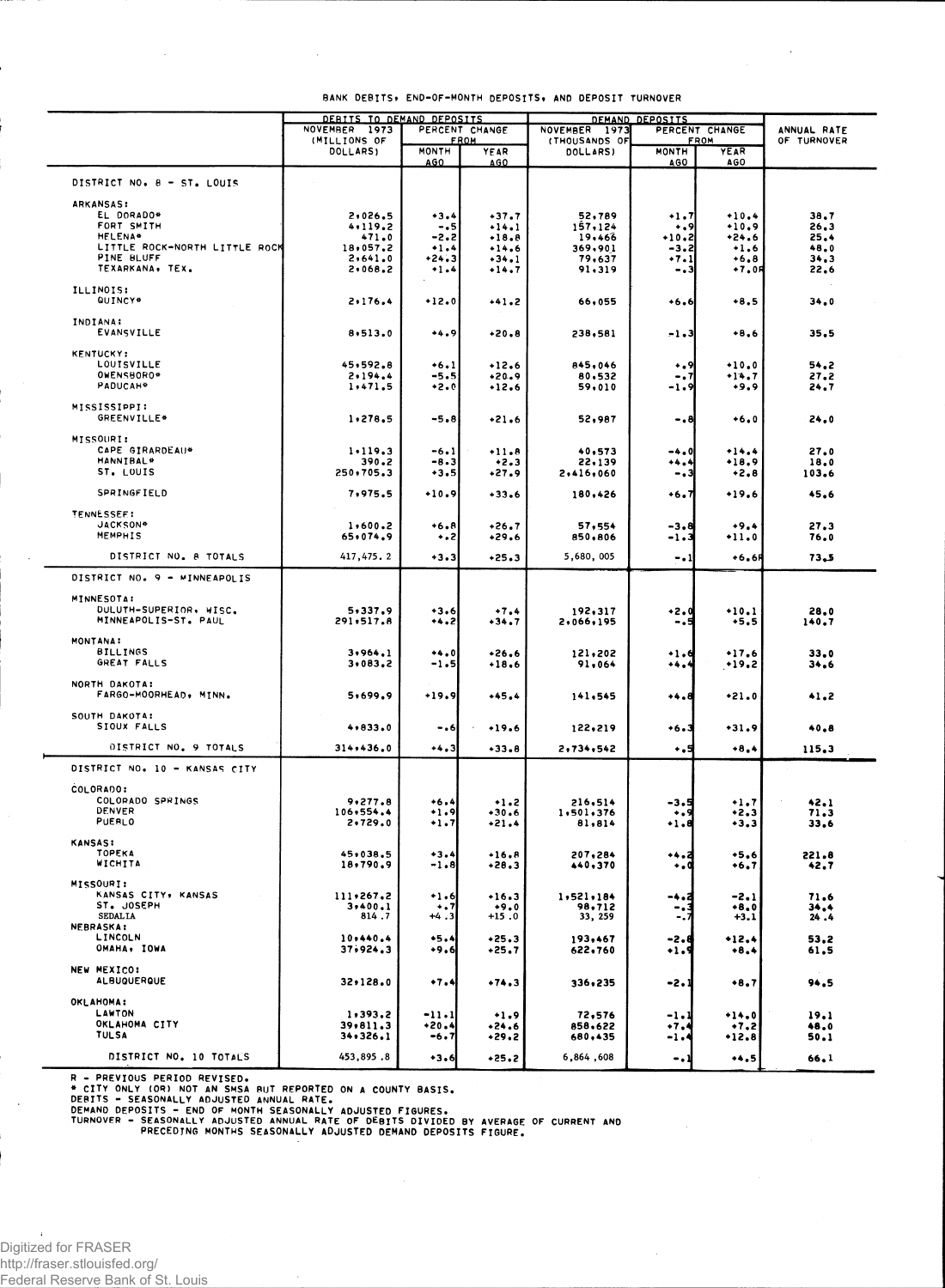|                                             | DEBITS TO DEMAND DEPOSITS     |                     | DEMAND DEPOSITS               |                                |                     |                                   |                            |
|---------------------------------------------|-------------------------------|---------------------|-------------------------------|--------------------------------|---------------------|-----------------------------------|----------------------------|
|                                             | NOVEMBER 1973<br>(MILLIONS OF |                     | PERCENT CHANGE<br><b>FROM</b> | NOVEMBER 1973<br>(THOUSANDS OF |                     | PERCENT CHANGE<br>FROM            | ANNUAL RATE<br>OF TURNOVER |
|                                             | DOLLARS)                      | <b>MONTH</b><br>AGO | YEAR<br>AGO                   | DOLLARS)                       | <b>MONTH</b><br>AGO | YEAR<br><b>AGO</b>                |                            |
| DISTRICT NO. 8 - ST. LOUIS                  |                               |                     |                               |                                |                     |                                   |                            |
|                                             |                               |                     |                               |                                |                     |                                   |                            |
| <b>ARKANSAS:</b><br>EL DORADO*              | 2,026.5                       | $+3.4$              | $+37.7$                       | 52,789                         | +1.7                | $+10.4$                           | 38.7                       |
| FORT SMITH                                  | 4,119.2                       | - . 5               | $+14.1$                       | 157,124                        | $\ddotsc$           | $+10.9$                           | 26.3                       |
| <b>HELENA*</b>                              | 471.0                         | $-2.2$              | $+18.8$                       | 19,466                         | $+10.2$             | $*24.6$                           | 25.4                       |
| LITTLE ROCK-NORTH LITTLE ROCK<br>PINE BLUFF | 18,057.2<br>2,641.0           | $+1.4$              | $-14.6$                       | 369,901                        | $-3.2$              | $+1,6$                            | 48.0                       |
| TEXARKANA, TEX.                             | 2.068.2                       | $+24.3$<br>$+1.4$   | $-34.1$<br>$+14.7$            | 79.637<br>91,319               | $+7.1$<br>- . 3     | $+6.8$<br>$+7,00$                 | 34.3<br>22.6               |
|                                             |                               |                     |                               |                                |                     |                                   |                            |
| ILLINOIS:<br>QUINCY*                        | 2.176.4                       | $+12.0$             | $+41.2$                       | 66,055                         | $+6.6$              | $+8.5$                            | 34.0                       |
|                                             |                               |                     |                               |                                |                     |                                   |                            |
| INDIANA:<br>EVANSVILLE                      | 8,513.0                       | $+4.9$              | $+20.8$                       | 238,581                        | -1.3                | $+8.6$                            | 35,5                       |
|                                             |                               |                     |                               |                                |                     |                                   |                            |
| KENTUCKY:<br>LOUISVILLE                     | 45,592.8                      | $+6.1$              | $+12.6$                       | 845,046                        | ۰.,                 | $+10.0$                           | 54.2                       |
| OWENSBORO*                                  | 2.194.4                       | $-5.5$              | $*20.9$                       | 80,532                         | $-0.7$              | $+14.7$                           | 27.2                       |
| PADUCAH <sup>4</sup>                        | 1,471.5                       | $+2.0$              | $+12.6$                       | 59,010                         | -1.9                | $+9.9$                            | 24.7                       |
| MISSISSIPPI:                                |                               |                     |                               |                                |                     |                                   |                            |
| GREENVILLE*                                 | 1,278.5                       | $-5.8$              | $+21.6$                       | 52,987                         | - - 8               | $+6.0$                            | 24.0                       |
| MISSOURI:                                   |                               |                     |                               |                                |                     |                                   |                            |
| CAPE GIRARDEAU*                             | 1.119.3                       | $-6.1$              | $+11.8$                       | 40,573                         | -4.0                | $+14.4$                           | 27.0                       |
| <b>HANNIBAL*</b>                            | 390.2                         | -6.3                | $+2.3$                        | 22,139                         | +4.4                | $+18.9$                           | 18.0                       |
| ST. LOUIS                                   | 250,705.3                     | $+3.5$              | $+27.9$                       | 2,416,060                      | -.3                 | $+2.8$                            | 103.6                      |
| <b>SPRINGFIELD</b>                          | 7,975.5                       | $+10.9$             | $+33.6$                       | 180,426                        | •6.7                | $+19.6$                           | 45.6                       |
| <b>TENNESSEE:</b>                           |                               |                     |                               |                                |                     |                                   |                            |
| JACKSON <sup>#</sup>                        | 1,600.2                       | $+6.8$              | $+26.7$                       | 57,554                         | -3.8                | $+9.4$                            | 27.3                       |
| MEMPHIS                                     | 65.074.9                      | .2                  | +29.6                         | 850,806                        | -1.3                | $+11.0$                           | 76.0                       |
| DISTRICT NO. 8 TOTALS                       | 417,475.2                     | $+3.3$              | $+25.3$                       | 5,680,005                      | $-1$                | $+6.6f$                           | 73.5                       |
| DISTRICT NO. 9 - MINNEAPOLIS                |                               |                     |                               |                                |                     |                                   |                            |
|                                             |                               |                     |                               |                                |                     |                                   |                            |
| <b>MINNESOTA:</b><br>DULUTH-SUPERIOR, WISC. | 5,337.9                       | $+3.6$              | $+7.4$                        | 192,317                        | $-2.0$              | $+10.1$                           | 28,0                       |
| MINNEAPOLIS-ST. PAUL                        | 291,517.8                     | +4.2                | $+34.7$                       | 2,066,195                      | - - 5               | $+5.5$                            | 140.7                      |
| MONTANA:                                    |                               |                     |                               |                                |                     |                                   |                            |
| <b>BILLINGS</b>                             | 3,964.1                       | $+4.0$              | $+26.6$                       | 121,202                        | $-1.6$              | $+17.6$                           | 33.0                       |
| GREAT FALLS                                 | 3,083,2                       | -1.5                | $+18.6$                       | 91,064                         | +4.4                | $+19.2$                           | 34.6                       |
| NORTH DAKOTA:                               |                               |                     |                               |                                |                     |                                   |                            |
| FARGO-MOORHEAD, MINN.                       | 5,699.9                       | $+19.9$             | $+45.4$                       | 141,545                        | $+4.8$              | $*21.0$                           | 41,2                       |
| SOUTH DAKOTA:                               |                               |                     |                               |                                |                     |                                   |                            |
| SIOUX FALLS                                 | 4,833.0                       | - . 6               | $+19.6$                       | 122,219                        | +6.3                | $+31.9$                           | 40.8                       |
| DISTRICT NO. 9 TOTALS                       | 314,436.0                     | $+4.3$              | $+33.8$                       | 2,734,542                      | $\ddotsc$           | +8.4                              | 115.3                      |
| DISTRICT NO. 10 - KANSAS CITY               |                               |                     |                               |                                |                     |                                   |                            |
|                                             |                               |                     |                               |                                |                     |                                   |                            |
| COLORADO:<br>COLORADO SPRINGS               | 9.277.8                       | $+6.4$              | $+1.2$                        | 216,514                        | -3.5                | $+1.7$                            | 42.1                       |
| DENVER                                      | 106,554.4                     | $+1.9$              | $+30.6$                       | 1,501,376                      | $\ddotsc$           | $+2.3$                            | 71.3                       |
| PUERLO                                      | 2,729.0                       | +1.7                | $+21.4$                       | 81,814                         | $+1.8$              | $+3.3$                            | 33.6                       |
| <b>KANSAS:</b>                              |                               |                     |                               |                                |                     |                                   |                            |
| TOPEKA                                      | 45,038.5                      | $+3.4$              | $+16.8$                       | 207,284                        | ۰۰.a                | $+5.6$                            | 221.8                      |
| WICHITA                                     | 18,790.9                      | $-1.8$              | $+28.3$                       | 440,370                        | ۰.۹                 | +6,7                              | 42,7                       |
| MISSOURI:                                   |                               |                     |                               |                                |                     |                                   |                            |
| KANSAS CITY, KANSAS<br>ST. JOSEPH           | 111,267.2<br>3,400.1          | $+1.6$<br>$\ddotsc$ | $-16.3$<br>$+9.0$             | 1,521,184<br>98,712            | -4.2<br>۰.          | $-2.1$<br>$+8.0$                  | 71.6<br>34.4               |
| <b>SEDALIA</b>                              | 814.7                         | $+4.3$              | $+15.0$                       | 33, 259                        | ۰.                  | $+3.1$                            | 24.4                       |
| <b>NEBRASKA:</b><br>LINCOLN                 | 10,440.4                      | $+5.4$              | $+25.3$                       |                                |                     |                                   |                            |
| OMAHA, IOWA                                 | 37,924,3                      | $+9.6$              | $+25.7$                       | 193,467<br>622,760             | -2.8<br>$-1.9$      | $+12.4$<br>$+8.4$                 | 53,2<br>61.5               |
| NEW MEXICO:                                 |                               |                     |                               |                                |                     |                                   |                            |
| <b>ALBUQUERQUE</b>                          | 32,128.0                      | $+7.4$              | $+74.3$                       | 336,235                        | -2.1                | $+8.7$                            | 94.5                       |
|                                             |                               |                     |                               |                                |                     |                                   |                            |
| OKLAHOMA:<br>LAWTON                         | 1,393.2                       | -11.1               | $+1.9$                        | 72,576                         | -1.1                | $+14.0$                           | 19.1                       |
| OKLAHOMA CITY                               | 39,811.3                      | $+20.4$             | $+24.6$                       | 858,622                        | +7.4                | $+7.2$                            | 48.0                       |
| <b>TULSA</b>                                | 34,326.1                      | -6.7                | $+29.2$                       | 680,435                        | $-1.4$              | $+12.8$                           | 50.1                       |
| DISTRICT NO. 10 TOTALS                      | 453,895.8                     | $+3.6$              | $+25.2$                       | 6,864,608                      | - - 1               | $\bullet\bullet\bullet\mathsf{5}$ | 66.1                       |
|                                             |                               |                     |                               |                                |                     |                                   |                            |

### BANK DEBITS, END-OF-MONTH DEPOSITS, AND DEPOSIT TURNOVER

 $\ddot{\phantom{a}}$ 

 $\mathbf{r}$ 

R - PREVIOUS PERIOD REVISED.<br>
\* CITY ONLY (OR) NOT AN SMSA RUT REPORTED ON A COUNTY BASIS.<br>
DERITS - SEASONALLY ADJUSTED ANNUAL RATE OF DEBITS DIVIDED BY AVERAGE OF CURRENT AND<br>
DEMAND DEPOSITS - END OF MONTH SEASONALLY AD